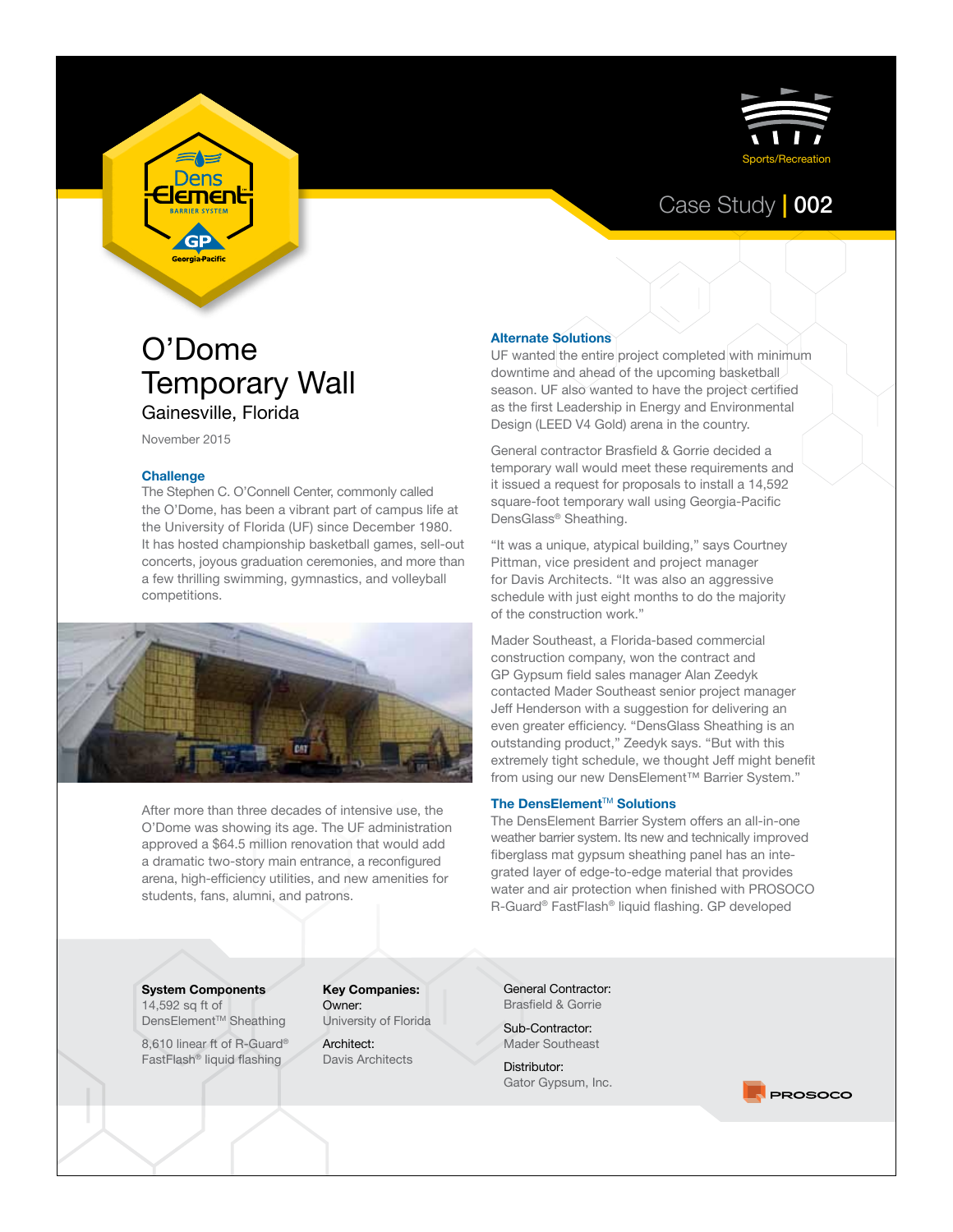

## Case Study **|** 002

# O'Dome Temporary Wall Gainesville, Florida

November 2015

**Dens** <u>lemen</u>

> GP eorgia Pacifi

#### **Challenge**

The Stephen C. O'Connell Center, commonly called the O'Dome, has been a vibrant part of campus life at the University of Florida (UF) since December 1980. It has hosted championship basketball games, sell-out concerts, joyous graduation ceremonies, and more than a few thrilling swimming, gymnastics, and volleyball competitions.



After more than three decades of intensive use, the O'Dome was showing its age. The UF administration approved a \$64.5 million renovation that would add a dramatic two-story main entrance, a reconfigured arena, high-efficiency utilities, and new amenities for students, fans, alumni, and patrons.

#### **Alternate Solutions**

UF wanted the entire project completed with minimum downtime and ahead of the upcoming basketball season. UF also wanted to have the project certified as the first Leadership in Energy and Environmental Design (LEED V4 Gold) arena in the country.

General contractor Brasfield & Gorrie decided a temporary wall would meet these requirements and it issued a request for proposals to install a 14,592 square-foot temporary wall using Georgia-Pacific DensGlass® Sheathing.

"It was a unique, atypical building," says Courtney Pittman, vice president and project manager for Davis Architects. "It was also an aggressive schedule with just eight months to do the majority of the construction work."

Mader Southeast, a Florida-based commercial construction company, won the contract and GP Gypsum field sales manager Alan Zeedyk contacted Mader Southeast senior project manager Jeff Henderson with a suggestion for delivering an even greater efficiency. "DensGlass Sheathing is an outstanding product," Zeedyk says. "But with this extremely tight schedule, we thought Jeff might benefit from using our new DensElement™ Barrier System."

#### **The DensElement™ Solutions**

The DensElement Barrier System offers an all-in-one weather barrier system. Its new and technically improved fiberglass mat gypsum sheathing panel has an integrated layer of edge-to-edge material that provides water and air protection when finished with PROSOCO R-Guard® FastFlash® liquid flashing. GP developed

**System Components** 14,592 sq ft of

DensElement™ Sheathing

8,610 linear ft of R-Guard® FastFlash® liquid flashing

**Key Companies:** Owner: University of Florida

Architect: Davis Architects General Contractor: Brasfield & Gorrie

Sub-Contractor: Mader Southeast

Distributor: Gator Gypsum, Inc.